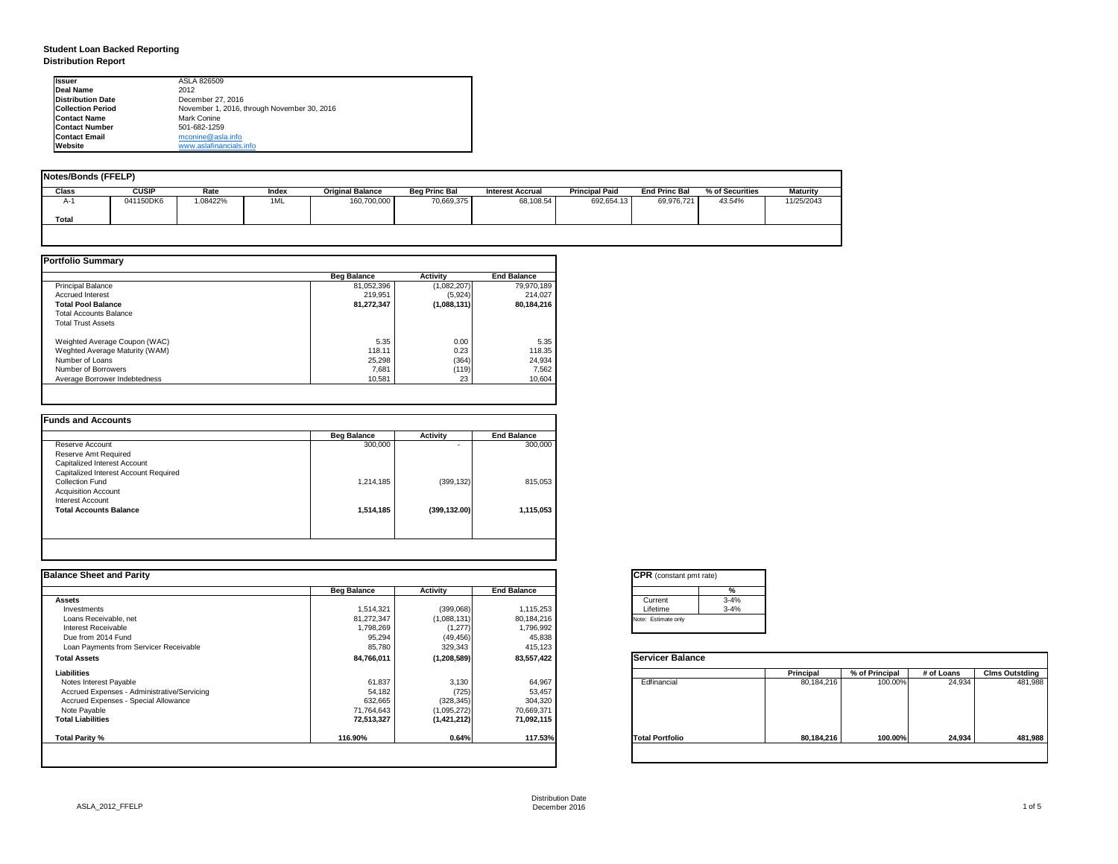| tant pmt rate) |          |
|----------------|----------|
|                | %        |
|                | $3 - 4%$ |
|                | $3 - 4%$ |
| only           |          |

|      | <b>Principal</b> | % of Principal | # of Loans | <b>Clms Outstding</b> |  |  |
|------|------------------|----------------|------------|-----------------------|--|--|
| al   | 80,184,216       | 100.00%        | 24,934     | 481,988               |  |  |
| olio | 80,184,216       | 100.00%        | 24,934     | 481,988               |  |  |

# **Student Loan Backed Reporting Distribution Report**

| <b>Notes/Bonds (FFELP)</b> |              |         |       |                         |                      |                         |                       |                      |                 |            |
|----------------------------|--------------|---------|-------|-------------------------|----------------------|-------------------------|-----------------------|----------------------|-----------------|------------|
| <b>Class</b>               | <b>CUSIP</b> | Rate    | Index | <b>Original Balance</b> | <b>Beg Princ Bal</b> | <b>Interest Accrual</b> | <b>Principal Paid</b> | <b>End Princ Bal</b> | % of Securities | Maturity   |
| A-1                        | 041150DK6    | .08422% | 1ML   | 160,700,000             | 70,669,375           | 68,108.54               | 692,654.13            | 69,976,721           | 43.54%          | 11/25/2043 |
| Total                      |              |         |       |                         |                      |                         |                       |                      |                 |            |
|                            |              |         |       |                         |                      |                         |                       |                      |                 |            |

|                                | <b>Beg Balance</b> | <b>Activity</b> | <b>End Balance</b> |
|--------------------------------|--------------------|-----------------|--------------------|
| <b>Principal Balance</b>       | 81,052,396         | (1,082,207)     | 79,970,189         |
| <b>Accrued Interest</b>        | 219,951            | (5,924)         | 214,027            |
| <b>Total Pool Balance</b>      | 81,272,347         | (1,088,131)     | 80,184,216         |
| <b>Total Accounts Balance</b>  |                    |                 |                    |
| <b>Total Trust Assets</b>      |                    |                 |                    |
| Weighted Average Coupon (WAC)  | 5.35               | 0.00            | 5.35               |
| Weghted Average Maturity (WAM) | 118.11             | 0.23            | 118.35             |
| Number of Loans                | 25,298             | (364)           | 24,934             |
| Number of Borrowers            | 7,681              | (119)           | 7,562              |
| Average Borrower Indebtedness  | 10,581             | 23              | 10,604             |

|                                       | <b>Beg Balance</b> | <b>Activity</b>          | <b>End Balance</b> |
|---------------------------------------|--------------------|--------------------------|--------------------|
| Reserve Account                       | 300,000            | $\overline{\phantom{0}}$ | 300,000            |
| <b>Reserve Amt Required</b>           |                    |                          |                    |
| <b>Capitalized Interest Account</b>   |                    |                          |                    |
| Capitalized Interest Account Required |                    |                          |                    |
| <b>Collection Fund</b>                | 1,214,185          | (399, 132)               | 815,053            |
| <b>Acquisition Account</b>            |                    |                          |                    |
| <b>Interest Account</b>               |                    |                          |                    |
| <b>Total Accounts Balance</b>         | 1,514,185          | (399, 132.00)            | 1,115,053          |
|                                       |                    |                          |                    |

| <b>Ilssuer</b>           | ASLA 826509                                 |
|--------------------------|---------------------------------------------|
| Deal Name                | 2012                                        |
| <b>Distribution Date</b> | December 27, 2016                           |
| <b>Collection Period</b> | November 1, 2016, through November 30, 2016 |
| <b>Contact Name</b>      | Mark Conine                                 |
| <b>Contact Number</b>    | 501-682-1259                                |
| <b>Contact Email</b>     | mconine@asla.info                           |
| <b>IWebsite</b>          | www.aslafinancials.info                     |

|                    |                 |                    | <b>CPR</b> (constant pmt rate) |                  |                |            |                       |
|--------------------|-----------------|--------------------|--------------------------------|------------------|----------------|------------|-----------------------|
| <b>Beg Balance</b> | <b>Activity</b> | <b>End Balance</b> | %                              |                  |                |            |                       |
|                    |                 |                    | $3 - 4%$<br>Current            |                  |                |            |                       |
| 1,514,321          | (399,068)       | 1,115,253          | $3 - 4%$<br>Lifetime           |                  |                |            |                       |
| 81,272,347         | (1,088,131)     | 80,184,216         | Note: Estimate only            |                  |                |            |                       |
| 1,798,269          | (1,277)         | 1,796,992          |                                |                  |                |            |                       |
| 95,294             |                 |                    |                                |                  |                |            |                       |
| 85,780             | 329,343         | 415,123            |                                |                  |                |            |                       |
| 84,766,011         | (1, 208, 589)   | 83,557,422         | <b>Servicer Balance</b>        |                  |                |            |                       |
|                    |                 |                    |                                | <b>Principal</b> | % of Principal | # of Loans | <b>Clms Outstding</b> |
| 61,837             | 3,130           | 64,967             | Edfinancial                    | 80,184,216       | 100.00%        | 24,934     | 481,988               |
| 54,182             | (725)           | 53,457             |                                |                  |                |            |                       |
| 632,665            | (328, 345)      | 304,320            |                                |                  |                |            |                       |
| 71,764,643         | (1,095,272)     | 70,669,371         |                                |                  |                |            |                       |
| 72,513,327         | (1,421,212)     | 71,092,115         |                                |                  |                |            |                       |
| 116.90%            | 0.64%           | 117.53%            | <b>Total Portfolio</b>         | 80,184,216       | 100.00%        | 24,934     | 481,988               |
|                    |                 | (49, 456)          | 45,838                         |                  |                |            |                       |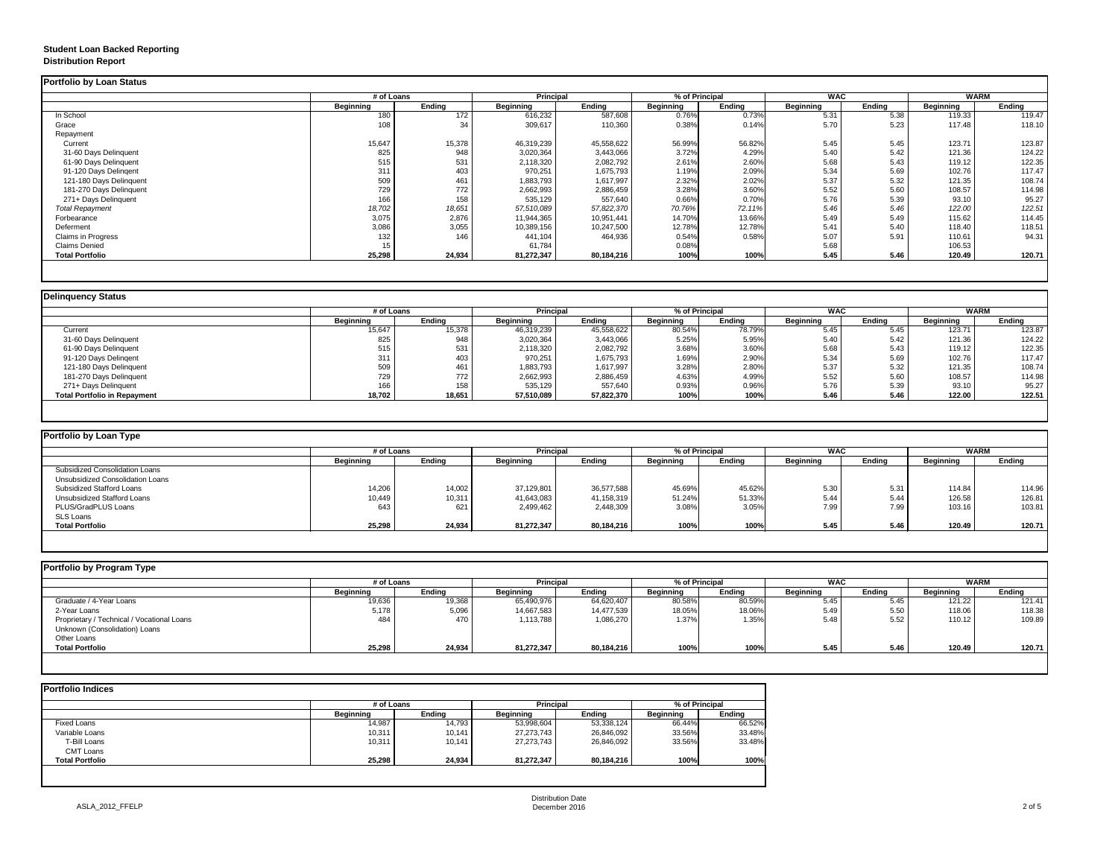## **Student Loan Backed Reporting Distribution Report**

|                           | # of Loans       |               | <b>Principal</b> |               | % of Principal   |               | <b>WAC</b>       |               | <b>WARM</b>      |               |
|---------------------------|------------------|---------------|------------------|---------------|------------------|---------------|------------------|---------------|------------------|---------------|
|                           | <b>Beginning</b> | <b>Ending</b> | <b>Beginning</b> | <b>Ending</b> | <b>Beginning</b> | <b>Ending</b> | <b>Beginning</b> | <b>Ending</b> | <b>Beginning</b> | <b>Ending</b> |
| In School                 | 180              | 172           | 616,232          | 587,608       | 0.76%            | 0.73%         | 5.31             | 5.38          | 119.33           | 119.47        |
| Grace                     | 108              | 34            | 309,617          | 110,360       | 0.38%            | 0.14%         | 5.70             | 5.23          | 117.48           | 118.10        |
| Repayment                 |                  |               |                  |               |                  |               |                  |               |                  |               |
| Current                   | 15,647           | 15,378        | 46,319,239       | 45,558,622    | 56.99%           | 56.82%        | 5.45             | 5.45          | 123.71           | 123.87        |
| 31-60 Days Delinquent     | 825              | 948           | 3,020,364        | 3,443,066     | 3.72%            | 4.29%         | 5.40             | 5.42          | 121.36           | 124.22        |
| 61-90 Days Delinquent     | 515              | 531           | 2,118,320        | 2,082,792     | 2.61%            | 2.60%         | 5.68             | 5.43          | 119.12           | 122.35        |
| 91-120 Days Delingent     | 311              | 403           | 970,251          | 1,675,793     | 1.19%            | 2.09%         | 5.34             | 5.69          | 102.76           | 117.47        |
| 121-180 Days Delinquent   | 509              | 461           | 1,883,793        | 1,617,997     | 2.32%            | 2.02%         | 5.37             | 5.32          | 121.35           | 108.74        |
| 181-270 Days Delinquent   | 729              | 772           | 2,662,993        | 2,886,459     | 3.28%            | 3.60%         | 5.52             | 5.60          | 108.57           | 114.98        |
| 271+ Days Delinquent      | 166              | 158           | 535,129          | 557,640       | 0.66%            | 0.70%         | 5.76             | 5.39          | 93.10            | 95.27         |
| <b>Total Repayment</b>    | 18,702           | 18,651        | 57,510,089       | 57,822,370    | 70.76%           | 72.11%        | 5.46             | 5.46          | 122.00           | 122.51        |
| Forbearance               | 3,075            | 2,876         | 11,944,365       | 10,951,441    | 14.70%           | 13.66%        | 5.49             | 5.49          | 115.62           | 114.45        |
| Deferment                 | 3,086            | 3,055         | 10,389,156       | 10,247,500    | 12.78%           | 12.78%        | 5.41             | 5.40          | 118.40           | 118.51        |
| <b>Claims in Progress</b> | 132              | 146           | 441,104          | 464,936       | 0.54%            | 0.58%         | 5.07             | 5.91          | 110.61           | 94.31         |
| <b>Claims Denied</b>      | 15               |               | 61,784           |               | 0.08%            |               | 5.68             |               | 106.53           |               |
| <b>Total Portfolio</b>    | 25,298           | 24,934        | 81,272,347       | 80,184,216    | 100%             | 100%          | 5.45             | 5.46          | 120.49           | 120.71        |

|                                     |                  | # of Loans    |                  | <b>Principal</b> | % of Principal   |               | <b>WAC</b>       |               | <b>WARM</b>      |               |
|-------------------------------------|------------------|---------------|------------------|------------------|------------------|---------------|------------------|---------------|------------------|---------------|
|                                     | <b>Beginning</b> | <b>Ending</b> | <b>Beginning</b> | <b>Ending</b>    | <b>Beginning</b> | <b>Ending</b> | <b>Beginning</b> | <b>Ending</b> | <b>Beginning</b> | <b>Ending</b> |
| Current                             | 15,647           | 15,378        | 46,319,239       | 45,558,622       | 80.54%           | 78.79%        | 5.45             | 5.45          | 123.71           | 123.87        |
| 31-60 Days Delinquent               | 825              | 948           | 3,020,364        | 3,443,066        | 5.25%            | 5.95%         | 5.40             | 5.42          | 121.36           | 124.22        |
| 61-90 Days Delinquent               | 515              | 531           | 2,118,320        | 2,082,792        | 3.68%            | 3.60%         | 5.68             | 5.43          | 119.12           | 122.35        |
| 91-120 Days Delingent               | 311              | 403           | 970,251          | 1,675,793        | 1.69%            | 2.90%         | 5.34             | 5.69          | 102.76           | 117.47        |
| 121-180 Days Delinquent             | 509              | 461           | 1,883,793        | 1,617,997        | 3.28%            | 2.80%         | 5.37             | 5.32          | 121.35           | 108.74        |
| 181-270 Days Delinquent             | 729              | 772           | 2,662,993        | 2,886,459        | 4.63%            | 4.99%         | 5.52             | 5.60          | 108.57           | 114.98        |
| 271+ Days Delinquent                | 166              | 158           | 535,129          | 557,640          | 0.93%            | 0.96%         | 5.76             | 5.39          | 93.10            | 95.27         |
| <b>Total Portfolio in Repayment</b> | 18,702           | 18,651        | 57,510,089       | 57,822,370       | 100%             | 100%          | 5.46             | 5.46          | 122.00           | 122.51        |

| <b>Portfolio by Loan Type</b>           |                  |               |                  |               |                  |               |                  |        |                  |               |
|-----------------------------------------|------------------|---------------|------------------|---------------|------------------|---------------|------------------|--------|------------------|---------------|
|                                         | # of Loans       |               | <b>Principal</b> |               | % of Principal   |               | <b>WAC</b>       |        | <b>WARM</b>      |               |
|                                         | <b>Beginning</b> | <b>Ending</b> | Beginning        | <b>Ending</b> | <b>Beginning</b> | <b>Ending</b> | <b>Beginning</b> | Ending | <b>Beginning</b> | <b>Ending</b> |
| <b>Subsidized Consolidation Loans</b>   |                  |               |                  |               |                  |               |                  |        |                  |               |
| <b>Unsubsidized Consolidation Loans</b> |                  |               |                  |               |                  |               |                  |        |                  |               |
| <b>Subsidized Stafford Loans</b>        | 14,206           | 14,002        | 37,129,801       | 36,577,588    | 45.69%           | 45.62%        | 5.30             | 5.31   | 114.84           | 114.96        |
| <b>Unsubsidized Stafford Loans</b>      | 10,449           | 10,311        | 41,643,083       | 41,158,319    | 51.24%           | 51.33%        | 5.44             | 5.44   | 126.58           | 126.81        |
| PLUS/GradPLUS Loans                     | 643              | 621           | 2,499,462        | 2,448,309     | 3.08%            | 3.05%         | 7.99             | 7.99   | 103.16           | 103.81        |
| <b>SLS Loans</b>                        |                  |               |                  |               |                  |               |                  |        |                  |               |
| <b>Total Portfolio</b>                  | 25,298           | 24,934        | 81,272,347       | 80,184,216    | 100%             | 100%          | 5.45             | 5.46   | 120.49           | 120.71        |

|                                            |                  | # of Loans    |                  | <b>Principal</b> | % of Principal   |               | <b>WAC</b>       |               | <b>WARM</b>      |        |
|--------------------------------------------|------------------|---------------|------------------|------------------|------------------|---------------|------------------|---------------|------------------|--------|
|                                            | <b>Beginning</b> | <b>Ending</b> | <b>Beginning</b> | Ending           | <b>Beginning</b> | <b>Ending</b> | <b>Beginning</b> | <b>Ending</b> | <b>Beginning</b> | Ending |
| Graduate / 4-Year Loans                    | 19,636           | 19,368        | 65,490,976       | 64,620,407       | 80.58%           | 80.59%        | 5.45             | 5.45          | 121.22           | 121.41 |
| 2-Year Loans                               | 5,178            | 5,096         | 14,667,583       | 14,477,539       | 18.05%           | 18.06%        | 5.49             | 5.50          | 118.06           | 118.38 |
| Proprietary / Technical / Vocational Loans | 484              | 470           | 1,113,788        | 1,086,270        | 1.37%            | 1.35%         | 5.48             | 5.52          | 110.12           | 109.89 |
| Unknown (Consolidation) Loans              |                  |               |                  |                  |                  |               |                  |               |                  |        |
| <b>Other Loans</b>                         |                  |               |                  |                  |                  |               |                  |               |                  |        |
| <b>Total Portfolio</b>                     | 25,298           | 24,934        | 81,272,347       | 80,184,216       | 100%             | 100%          | 5.45             | 5.46          | 120.49           | 120.71 |

|                        | # of Loans       | <b>Principal</b> |                  | % of Principal |                  |               |
|------------------------|------------------|------------------|------------------|----------------|------------------|---------------|
|                        | <b>Beginning</b> | <b>Ending</b>    | <b>Beginning</b> | <b>Ending</b>  | <b>Beginning</b> | <b>Ending</b> |
| <b>Fixed Loans</b>     | 14,987           | 14,793           | 53,998,604       | 53,338,124     | 66.44%           | 66.52%        |
| Variable Loans         | 10,311           | 10,141           | 27,273,743       | 26,846,092     | 33.56%           | 33.48%        |
| T-Bill Loans           | 10,311           | 10,141           | 27,273,743       | 26,846,092     | 33.56%           | 33.48%        |
| <b>CMT Loans</b>       |                  |                  |                  |                |                  |               |
| <b>Total Portfolio</b> | 25,298           | 24,934           | 81,272,347       | 80,184,216     | 100%             | 100%          |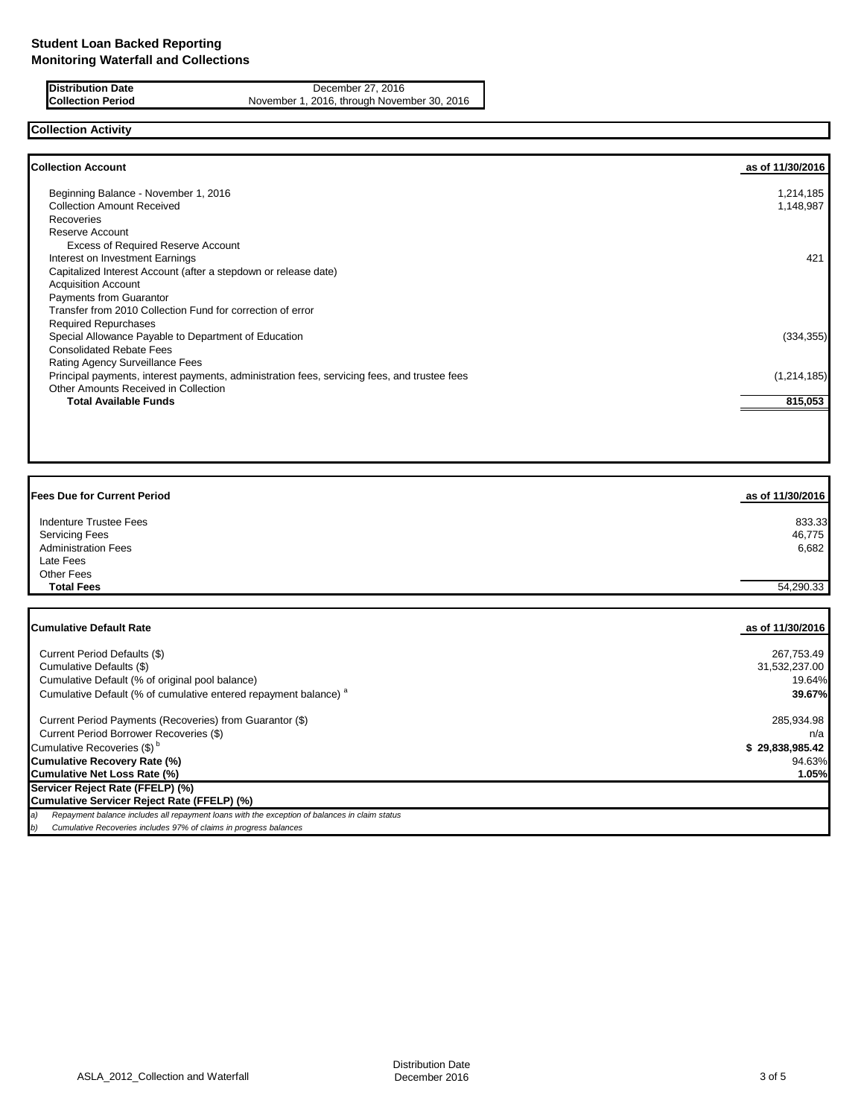**Distribution Date** December 27, 2016<br>**Collection Period** November 1, 2016, through Novem November 1, 2016, through November 30, 2016

# **Collection Activity**

| <b>Collection Account</b>                                                                    | as of 11/30/2016 |
|----------------------------------------------------------------------------------------------|------------------|
| Beginning Balance - November 1, 2016                                                         | 1,214,185        |
| <b>Collection Amount Received</b>                                                            | 1,148,987        |
| <b>Recoveries</b>                                                                            |                  |
| Reserve Account                                                                              |                  |
| <b>Excess of Required Reserve Account</b>                                                    |                  |
| Interest on Investment Earnings                                                              | 421              |
| Capitalized Interest Account (after a stepdown or release date)                              |                  |
| <b>Acquisition Account</b>                                                                   |                  |
| Payments from Guarantor                                                                      |                  |
| Transfer from 2010 Collection Fund for correction of error                                   |                  |
| <b>Required Repurchases</b>                                                                  |                  |
| Special Allowance Payable to Department of Education                                         | (334, 355)       |
| <b>Consolidated Rebate Fees</b>                                                              |                  |
| Rating Agency Surveillance Fees                                                              |                  |
| Principal payments, interest payments, administration fees, servicing fees, and trustee fees | (1,214,185)      |
| Other Amounts Received in Collection                                                         |                  |
| <b>Total Available Funds</b>                                                                 | 815,053          |
|                                                                                              |                  |

| <b>Fees Due for Current Period</b>                                          | as of 11/30/2016 |
|-----------------------------------------------------------------------------|------------------|
| Indenture Trustee Fees                                                      | 833.33           |
| <b>Servicing Fees</b>                                                       | 46,775           |
| <b>Administration Fees</b>                                                  | 6,682            |
| Late Fees                                                                   |                  |
| Other Fees                                                                  |                  |
| <b>Total Fees</b>                                                           | 54,290.33        |
|                                                                             |                  |
| <b>Cumulative Default Rate</b>                                              | as of 11/30/2016 |
| Current Period Defaults (\$)                                                | 267,753.49       |
| Cumulative Defaults (\$)                                                    | 31,532,237.00    |
| Cumulative Default (% of original pool balance)                             | 19.64%           |
| Cumulative Default (% of cumulative entered repayment balance) <sup>a</sup> | 39.67%           |

 Current Period Payments (Recoveries) from Guarantor (\$) 285,934.98 Current Period Borrower Recoveries (\$) n/a Cumulative Recoveries  $(\text{\$})^b$  **\$ 29,838,985.42 Cumulative Recovery Rate (%)** 94.63% **Cumulative Net Loss Rate (%) 1.05% Servicer Reject Rate (FFELP) (%) Cumulative Servicer Reject Rate (FFELP) (%)**

*a) Repayment balance includes all repayment loans with the exception of balances in claim status*

*b) Cumulative Recoveries includes 97% of claims in progress balances*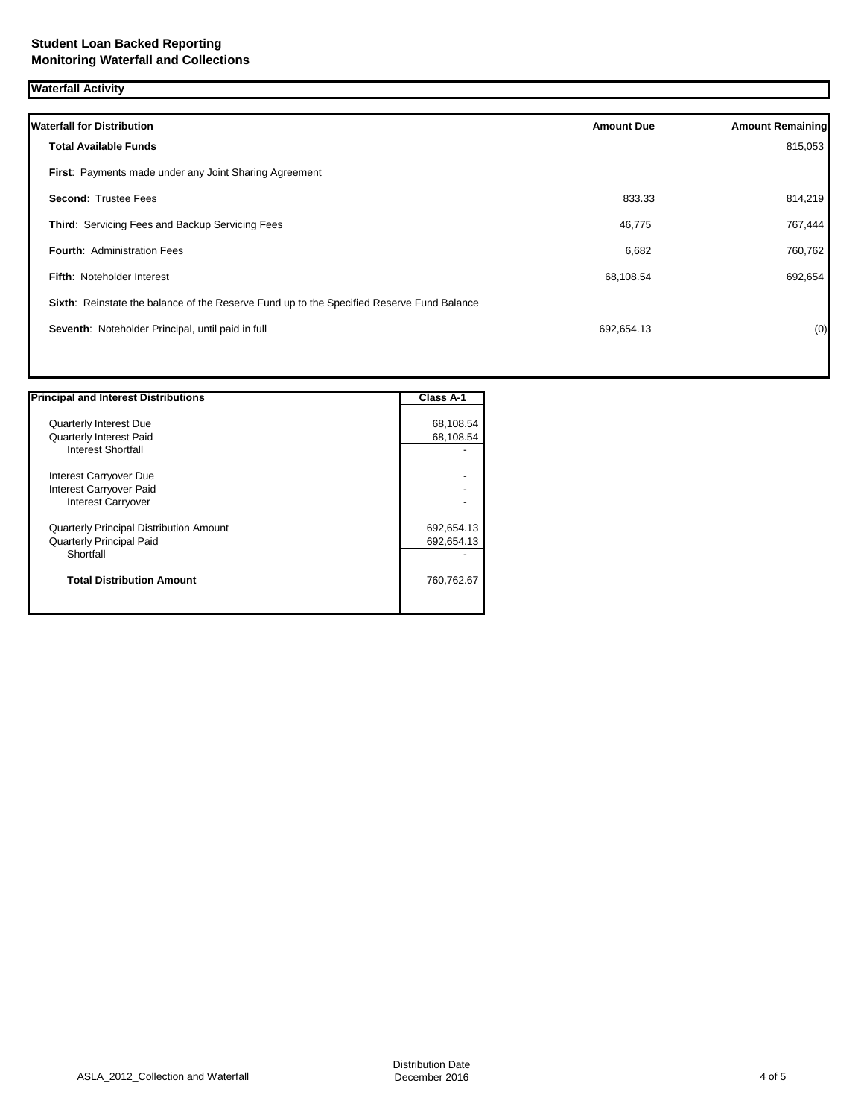**Waterfall Activity**

| <b>Waterfall for Distribution</b>                                                         | <b>Amount Due</b> | <b>Amount Remaining</b> |
|-------------------------------------------------------------------------------------------|-------------------|-------------------------|
| <b>Total Available Funds</b>                                                              |                   | 815,053                 |
| First: Payments made under any Joint Sharing Agreement                                    |                   |                         |
| <b>Second: Trustee Fees</b>                                                               | 833.33            | 814,219                 |
| Third: Servicing Fees and Backup Servicing Fees                                           | 46,775            | 767,444                 |
| <b>Fourth: Administration Fees</b>                                                        | 6,682             | 760,762                 |
| <b>Fifth: Noteholder Interest</b>                                                         | 68,108.54         | 692,654                 |
| Sixth: Reinstate the balance of the Reserve Fund up to the Specified Reserve Fund Balance |                   |                         |
| Seventh: Noteholder Principal, until paid in full                                         | 692,654.13        | (0)                     |
|                                                                                           |                   |                         |

| <b>Principal and Interest Distributions</b>    | <b>Class A-1</b> |
|------------------------------------------------|------------------|
| <b>Quarterly Interest Due</b>                  | 68,108.54        |
| <b>Quarterly Interest Paid</b>                 | 68,108.54        |
| <b>Interest Shortfall</b>                      |                  |
| Interest Carryover Due                         |                  |
| Interest Carryover Paid                        |                  |
| Interest Carryover                             |                  |
| <b>Quarterly Principal Distribution Amount</b> | 692,654.13       |
| <b>Quarterly Principal Paid</b>                | 692,654.13       |
| Shortfall                                      |                  |
| <b>Total Distribution Amount</b>               | 760,762.67       |
|                                                |                  |